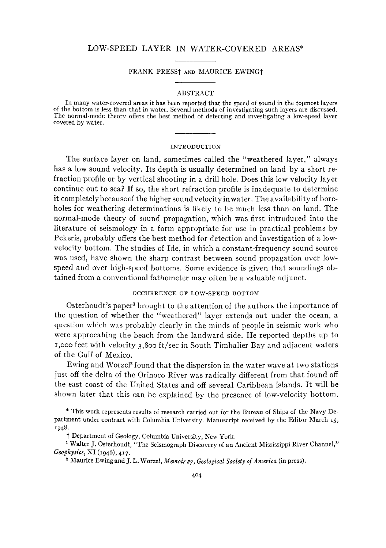# LOW-SPEED LAYER IN WATER-COVERED AREAS\*

## FRANK PRESS<sup>†</sup> AND MAURICE EWING<sup>†</sup>

### ABSTRACT

In many water-covered areas it has been reported that the speed of sound in the topmost layers of the bottom is less than that in water. Several methods of investigating such layers are discussed. The normal-mode theory offers the best method of detecting and investigating a low-speed layer covered by water.

### INTRODUCTION

The surface layer on land, sometimes called the "weathered layer," always has a low sound velocity. Its depth is usually determined on land by a short refraction profile or by vertical shooting in a drill hole. Does this low velocity layer continue out to sea? If so, the short refraction profile is inadequate to determine it completely because of the higher sound velocity in water. The availability of boreholes for weathering determinations is likely to be much less than on land. The normal-mode theory of sound propagation, which was first introduced into the literature of seismology in a form appropriate for use in practical problems by Pekeris, probably offers the best method for detection and investigation of a lowvelocity bottom. The studies of Ide, in which a constant-frequency sound source was used, have shown the sharp contrast between sound propagation over lowspeed and over high-speed bottoms. Some evidence is given that soundings obtained from a conventional fathometer may often be a valuable adjunct.

## OCCURRENCE OF LOW-SPEED BOTTOM

Osterhoudt's paper<sup>1</sup> brought to the attention of the authors the importance of the question of whether the "weathered" layer extends out under the ocean, a question which was probably clearly in the minds of people in seismic work who were approcahing the beach from the landward side. He reported depths up to 1,000 feet with velocity 3,800 ft/sec in South Timbalier Bay and adjacent waters of the Gulf of Mexico.

Ewing and Worzel<sup>2</sup> found that the dispersion in the water wave at two stations just off the delta of the Orinoco River was radically different from that found off the east coast of the United States and off several Caribbean islands. It will be shown later that this can be explained by the presence of low-velocity bottom.

\*This work represents results of research carried out for the Bureau of Ships of the Navy Department under contract with Columbia University. Manuscript received by the Editor March 15, 1948.

t Department of Geology, Columbia University, New York. 1 Walter J. Osterhoudt, "The Seismograph Discovery of an Ancient Mississippi River Channel," *Geophysics,* XI (1946), 417. 2 Maurice Ewing and J. L. Worzel, *Memoir 27, Geological Society of America* (in press).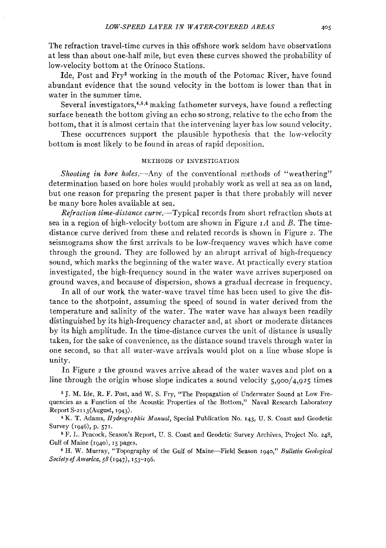The refraction travel-time curves in this offshore work seldom have observations at less than about one-half mile, but even these curves showed the probability of low-velocity bottom at the Orinoco Stations.

Ide, Post and Fry3 working in the mouth of the Potomac River, have found abundant evidence that the sound velocity in the bottom is lower than that in water in the summer time.

Several investigators,4 • 5 • 6 making fathometer surveys, have found a reflecting surface beneath the bottom giving an echo so strong, relative to the echo from the bottom, that it is almost certain that the intervening layer has low sound velocity.

These occurrences support the plausible hypothesis that the low-velocity bottom is most likely to be found in areas of rapid deposition.

### METHODS OF INVESTIGATION

Shooting in bore holes.—Any of the conventional methods of "weathering" determination based on bore holes would probably work as well at sea as on land, but one reason for preparing the present paper is that there probably will never be many bore holes available at sea.

*Refraction time-distance curve.-Typical* records from short refraction shots at sea in a region of high-velocity bottom are shown in Figure  $1A$  and B. The timedistance curve derived from these and related records is shown in Figure 2. The seismograms show the first arrivals to be low-frequency waves which have come through the ground. They are followed by an abrupt arrival of high-frequency sound, which marks the beginning of the water wave. At practically every station investigated, the high-frequency sound in the water wave arrives superposed on ground waves, and because of dispersion, shows a gradual decrease in frequency.

In all of our work the water-wave travel time has been used to give the distance to the shotpoint, assuming the speed of sound in water derived from the temperature and salinity of the water. The water wave has always been readily distinguished by its high-frequency character and, at short or moderate distances by its high amplitude. In the time-distance curves the unit of distance is usually taken, for the sake of convenience, as the distance sound travels through water in one second, so that all water-wave arrivals would plot on a line whose slope is unity.

In Figure 2 the ground waves arrive ahead of the water waves and plot on a line through the origin whose slope indicates a sound velocity  $5,900/4,925$  times

3 J. M. Ide, R. F. Post, and W. S. Fry, "The Propagation of Underwater Sound at Low Frequencies as a Function of the Acoustic Properties of the Bottom," Naval Research Laboratory Report S-2rr3(August, 1943). 4 K. T. Adams, *Hydrographic Manual,* Special Publication No. 143, U. S. Coast and Geodetic

Survey (1946), p. 571.

& F. L. Peacock, Season's Report, U. S. Coast and Geodetic Survey Archives, Project No. 248, Gulf of Maine (1940), 15 pages.<br>6 H. W. Murray, "Topography of the Gulf of Maine-Field Season 1940," *Bulletin Geological* 

*Society of America, 58* (1947), 153-196.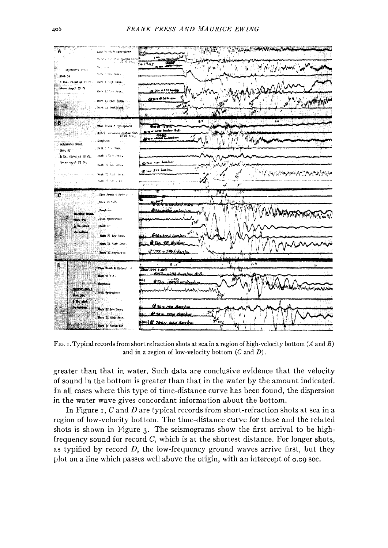

FIG. 1. Typical records from short refraction shots at sea in a region of high-velocity bottom (A and B) and in a region of low-velocity bottom  $(C \text{ and } D)$ .

greater than that in water. Such data are conclusive evidence that the velocity of sound in the bottom is greater than that in the water by the amount indicated. In all cases where this type of time-distance curve has been found, the dispersion in the water wave gives concordant information about the bottom.

In Figure 1, C and D are typical records from short-refraction shots at sea in a region of low-velocity bottom. The time-distance curve for these and the related shots is shown in Figure 3. The seismograms show the first arrival to be highfrequency sound for record C, which is at the shortest distance. For longer shots, as typified by record  $D$ , the low-frequency ground waves arrive first, but they plot on a line which passes well above the origin, with an intercept of 0.09 sec.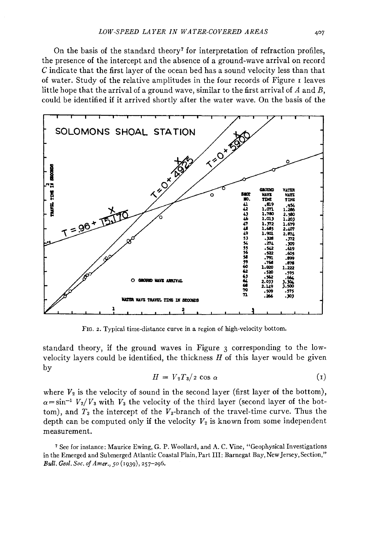On the basis of the standard theory<sup>7</sup> for interpretation of refraction profiles, the presence of the intercept and the absence of a ground-wave arrival on record C indicate that the first layer of the ocean bed has a sound velocity less than that of water. Study of the relative amplitudes in the four records of Figure I leaves little hope that the arrival of a ground wave, similar to the first arrival of  $A$  and  $B$ , could be identified if it arrived shortly after the water wave. On the basis of the



FIG. 2. Typical time-distance curve in a region of high-velocity bottom.

standard theory, if the ground waves in Figure 3 corresponding to the lowvelocity layers could be identified, the thickness  $H$  of this layer would be given by

$$
H = V_2 T_3 / 2 \cos \alpha \tag{1}
$$

where  $V_2$  is the velocity of sound in the second layer (first layer of the bottom),  $\alpha = \sin^{-1} V_2/V_3$  with  $V_3$  the velocity of the third layer (second layer of the bottom), and  $T_3$  the intercept of the  $V_3$ -branch of the travel-time curve. Thus the depth can be computed only if the velocity  $V_2$  is known from some independent measurement.

<sup>7</sup> See for instance: Maurice Ewing, G. P. Woollard, and A. C. Vine, "Geophysical Investigations" in the Emerged and Submerged Atlantic Coastal Plain, Part III: Barnegat Bay, New Jersey, Section," Bull. Geol. Soc. of Amer., 50 (1939), 257-296.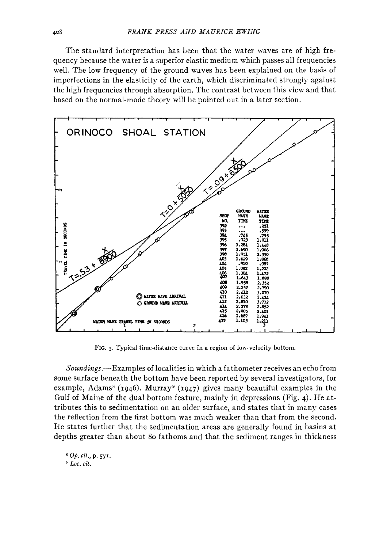The standard interpretation has been that the water waves are of high frequency because the water is a superior elastic medium which passes all frequencies well. The low frequency of the ground waves has been explained on the basis of imperfections in the elasticity of the earth, which discriminated strongly against the high frequencies through absorption. The contrast between this view and that based on the normal-mode theory will be pointed out in a later section.



FIG. 3. Typical time-distance curve in a region of low-velocity bottom.

Soundings.—Examples of localities in which a fathometer receives an echo from some surface beneath the bottom have been reported by several investigators, for example, Adams<sup>8</sup> (1946). Murray<sup>9</sup> (1947) gives many beautiful examples in the Gulf of Maine of the dual bottom feature, mainly in depressions (Fig. 4). He attributes this to sedimentation on an older surface, and states that in many cases the reflection from the first bottom was much weaker than that from the second. He states further that the sedimentation areas are generally found in basins at depths greater than about 80 fathoms and that the sediment ranges in thickness

8 Op. cit., p. 571.  $\degree$  Loc. cit.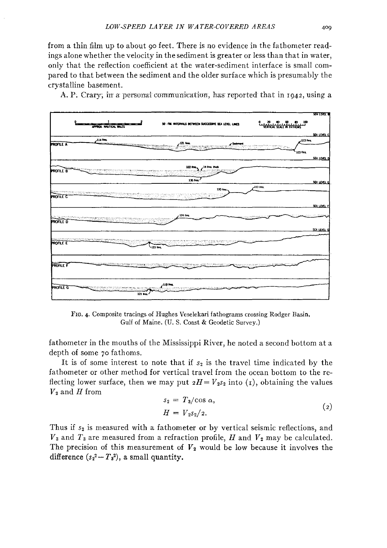from a thin film up to about 90 feet. There is no evidence in the fathometer readings alone whether the velocity in the sediment is greater or less than that in water, only that the reflection coefficient at the water-sediment interface is small compared to that between the sediment and the older surface which is presumably the crystalline basement.

A. P. Crary, in a personal communication, has reported that in 1942, using a



FIG. 4. Composite tracings of Hughes Veselekari fathograms crossing Rodger Basin, Gulf of Maine. (U. S. Coast & Geodetic Survey.)

fathometer in the mouths of the Mississippi River, he noted a second bottom at a depth of some 70 fathoms.

It is of some interest to note that if  $s_2$  is the travel time indicated by the fathometer or other method for vertical travel from the ocean bottom to the reflecting lower surface, then we may put  $2H = V_2s_2$  into (1), obtaining the values  $V_2$  and  $H$  from

$$
s_2 = T_3/\cos \alpha,
$$
  
\n
$$
H = V_2 s_2 / 2.
$$
\n(2)

Thus if  $s_2$  is measured with a fathometer or by vertical seismic reflections, and  $V_3$  and  $T_3$  are measured from a refraction profile, H and  $V_2$  may be calculated. The precision of this measurement of  $V_2$  would be low because it involves the difference  $(s_2^2-T_3^2)$ , a small quantity.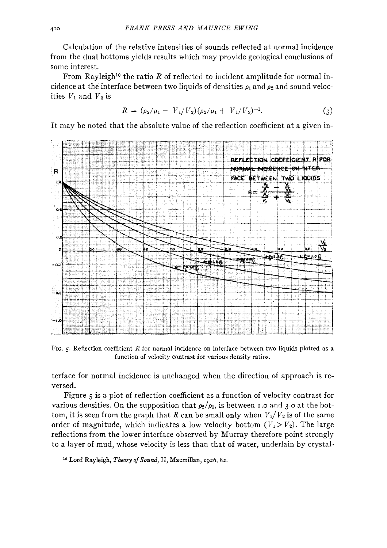Calculation of the relative intensities of sounds reflected at normal incidence from the dual bottoms yields results which may provide geological conclusions of some interest.

From Rayleigh<sup>10</sup> the ratio *R* of reflected to incident amplitude for normal incidence at the interface between two liquids of densities  $\rho_1$  and  $\rho_2$  and sound velocities  $V_1$  and  $V_2$  is

$$
R = (\rho_2/\rho_1 - V_1/V_2)(\rho_2/\rho_1 + V_1/V_2)^{-1}.
$$
 (3)

It may be noted that the absolute value of the reflection coefficient at a given in-



FIG. 5. Reflection coefficient *R* ior normal incidence on interface between two liquids plotted as a function of velocity contrast for various density ratios.

terface for normal incidence is unchanged when the direction of approach is reversed.

Figure 5 is a plot of reflection coefficient as a function of velocity contrast for various densities. On the supposition that  $\rho_2/\rho_1$ , is between 1.0 and 3.0 at the bottom, it is seen from the graph that R can be small only when  $V_1/V_2$  is of the same order of magnitude, which indicates a low velocity bottom  $(V_1 > V_2)$ . The large reflections from the lower interface observed by Murray therefore point strongly to a layer of mud, whose velocity is less than that of water, underlain by crystal-

<sup>10</sup> Lord Rayleigh, *Theory of Sound*, II, Macmillan, 1926, 82.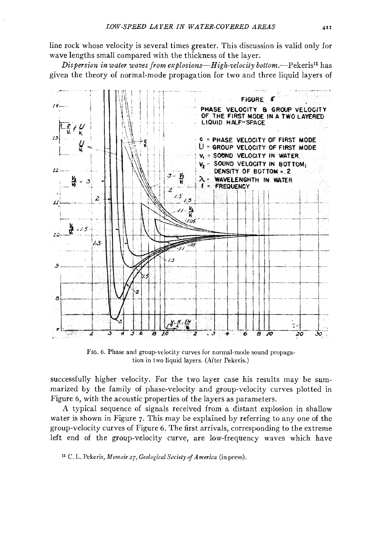line rock whose velocity is several times greater. This discussion is valid only for wave lengths small compared with the thickness of the layer.

*Dispersion in water waves from explosions—High-velocity bottom.—Pekeris<sup>11</sup> has* given the theory of normal-mode propagation for two and three liquid layers of



FIG. 6. Phase and group-velocity curves for normal-mode sound propagation in two liquid layers. (After Pekeris.)

successfully higher velocity. For the two layer case his results may be summarized by the family of phase-velocity and group-velocity curves plotted in Figure 6, with the acoustic properties of the layers as parameters.

A typical sequence of signals received from a distant explosion in shallow water is shown in Figure 7. This may be explained by referring to any one of the group-velocity curves of Figure 6. The first arrivals, corresponding to the extreme left end of the group-velocity curve, are low-frequency waves which have

<sup>11</sup> C. L. Pekeris, *Memoir 27*, *Geological Society of America* (in press).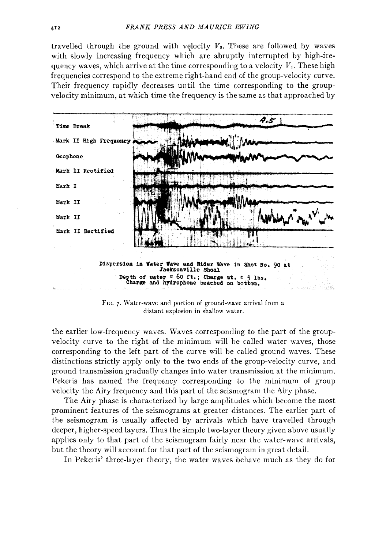travelled through the ground with velocity  $V_2$ . These are followed by waves with slowly increasing frequency which are abruptly interrupted by high-frequency waves, which arrive at the time corresponding to a velocity  $V_1$ . These high frequencies correspond to the extreme right-hand end of the group-velocity curve. Their frequency rapidly decreases until the time corresponding to the groupvelocity minimum, at which time the frequency is the same as that approached by



FIG. 7. Water-wave and portion of ground-wave arrival from a distant explosion in shallow water.

the earlier low-frequency waves. Waves corresponding to the part of the groupvelocity curve to the right of the minimum will be called water waves, those corresponding to the left part of the curve will be called ground waves. These distinctions strictly apply only to the two ends of the group-velocity curve, and ground transmission gradually changes into water transmission at the miqimum. Pekeris has named the frequency corresponding to the minimum of group velocity the Airy frequency and this part of the seismogram the Airy phase.

The Airy phase is characterized by large amplitudes which become the most prominent features of the seismograms at greater distances. The earlier part of the seismogram is usually affected by arrivals which have travelled through deeper, higher-speed layers. Thus the simple two-layer theory given above usually applies only to that part of the seismogram fairly near the water-wave arrivals, but the theory will account for that part of the seismogram in great detail.

In Pekeris' three-layer theory, the water waves behave much as they do for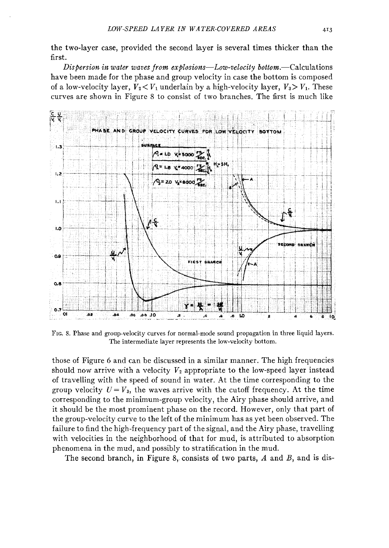the two-layer case, provided the second layer is several times thicker than the first.

*Dispersion in water waves from explosions-Low-velocity* bottom.-Calculations have been made for the phase and group velocity in case the bottom is composed of a low-velocity layer,  $V_2 < V_1$  underlain by a high-velocity layer,  $V_3 > V_1$ . These curves are shown in Figure 8 to consist of two branches. The first is much like



FIG. 8. Phase and group-velocity curves for normal-mode sound propagation in three liquid layers. The intermediate layer represents the low-velocity bottom.

those of Figure 6 and can be discussed in a similar manner. The high frequencies should now arrive with a velocity  $V_2$  appropriate to the low-speed layer instead of travelling with the speed of sound in water. At the time corresponding to the group velocity  $U = V_3$ , the waves arrive with the cutoff frequency. At the time corresponding to the minimum-group velocity, the Airy phase should arrive, and it should be the most prominent phase on the record. However, only that part of the group-velocity curve to the left of the minimum has as yet been observed. The failure to find the high-frequency part of the signal, and the Airy phase, travelling with velocities in the neighborhood of that for mud, is attributed to absorption phenomena in the mud, and possibly to stratification in the mud.

The second branch, in Figure 8, consists of two parts,  $A$  and  $B$ , and is dis-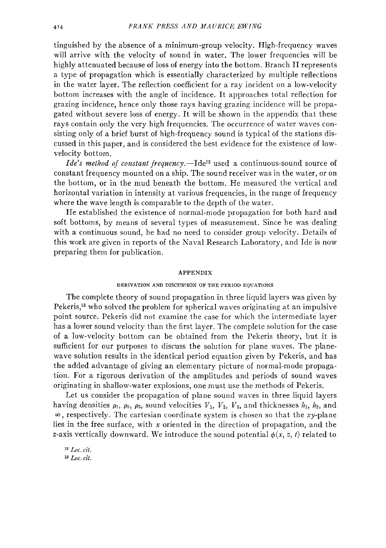tinguished by the absence of a minimum-group velocity. High-frequency waves will arrive with the velocity of sound in water. The lower frequencies will be highly attenuated because of loss of energy into the bottom. Branch II represents a type of propagation which is essentiafly characterized by multiple reflections in the water layer. The reflection coefficient for a ray incident on a low-velocity bottom increases with the angle of incidence. It approaches total reflection for grazing incidence, hence only those rays having grazing incidence will be propagated without severe loss of energy. It will be shown in the appendix that these rays contain only the very high frequencies. The occurrence of water waves consisting only of a brief burst of high-frequency sound is typical of the stations discussed in this paper, and is considered the best evidence for the existence of lowvelocity bottom.

*Ide's method of constant frequency.*—Ide<sup>12</sup> used a continuous-sound source of constant frequency mounted on a ship. The sound receiver was in the water, or on the bottom, or in the mud beneath the bottom. He measured the vertical and horizontal variation in intensity at various frequencies, in the range of frequency where the wave length is comparable to the depth of the water.

He established the existence of normal-mode propagation for both hard and soft bottoms, by means of several types of measurement. Since he was dealing with a continuous sound, he had no need to consider group velocity. Details of this work are given in reports of the Naval Research Laboratory, and Ide is now preparing them for publication.

### APPENDIX

### DERIVATION AND DISCUSSION OF THE PERIOD EQUATIONS

The complete theory of sound propagation in three liquid layers was given by Pekeris,13 who solved the problem for spherical waves originating at an impulsive point source. Pekeris did not examine the case for which the intermediate layer has a lower sound velocity than the first layer. The complete solution for the case of a low-velocity bottom can be obtained from the Pekeris theory, but it is sufficient for our purposes to discuss the solution for plane waves. The planewave solution results in the identical period equation given by Pekeris, and has the added advantage of giving an elementary picture of normal-mode propagation. For a rigorous derivation of the amplitudes and periods of sound waves originating in shallow-water explosions, one must use the methods of Pekeris.

Let us consider the propagation of plane sound waves in three liquid layers having densities  $\rho_1$ ,  $\rho_2$ ,  $\rho_3$ , sound velocities  $V_1$ ,  $V_2$ ,  $V_3$ , and thicknesses  $h_1$ ,  $h_2$ , and  $\infty$ , respectively. The cartesian coordinate system is chosen so that the xy-plane lies in the free surface, with *x* oriented in the direction of propagation, and the z-axis vertically downward. We introduce the sound potential  $\phi(x, z, t)$  related to

<sup>12</sup>*Loe. cit.*  13 *Loe. cit.*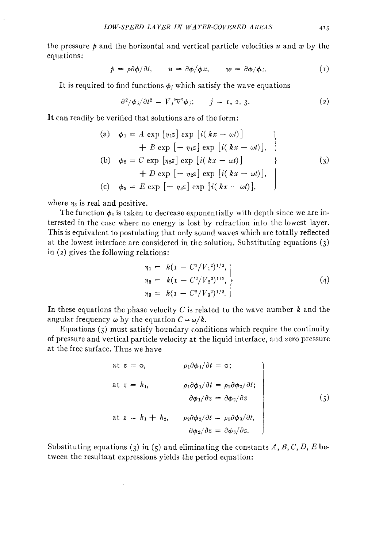the pressure  $\phi$  and the horizontal and vertical particle velocities  $u$  and  $w$  by the equations:

$$
p = \rho \partial \phi / \partial t, \qquad u = \partial \phi / \phi x, \qquad w = \partial \phi / \phi z.
$$
 (1)

It is required to find functions  $\phi_i$  which satisfy the wave equations

$$
\frac{\partial^2}{\phi_j}{\partial t^2} = V_j^2 \nabla^2 \phi_j; \qquad j = 1, 2, 3. \tag{2}
$$

It can readily be verified that solutions are of the form:

(a) 
$$
\phi_1 = A \exp [\eta_1 z] \exp [i(kx - \omega t)]
$$
  
\t $+ B \exp [-\eta_1 z] \exp [i(kx - \omega t)],$   
(b)  $\phi_2 = C \exp [\eta_2 z] \exp [i(kx - \omega t)]$   
\t $+ D \exp [-\eta_2 z] \exp [i(kx - \omega t)],$   
(c)  $\phi_3 = E \exp [-\eta_3 z] \exp [i(kx - \omega t)],$  (3)

where  $\eta_3$  is real and positive.

The function  $\phi_3$  is taken to decrease exponentially with depth since we are interested in the case where no energy is lost by refraction into the lowest layer. This is equivalent to postulating that only sound waves which are totally reflected at the lowest interface are considered in the solution. Substituting equations (3)<br>
in (2) gives the following relations:<br>  $n_1 = k(\mathbf{r} - C^2/V_1^2)^{1/2}$ , in  $(2)$  gives the following relations:

$$
\eta_1 = k(\mathbf{r} - C^2/V_1^2)^{1/2},
$$
  
\n
$$
\eta_2 = k(\mathbf{r} - C^2/V_2^2)^{1/2},
$$
  
\n
$$
\eta_3 = k(\mathbf{r} - C^2/V_3^2)^{1/2}.
$$
\n(4)

In these equations the phase velocity  $C$  is related to the wave number  $k$  and the angular frequency  $\omega$  by the equation  $C = \omega/k$ .

Equations (3) must satisfy boundary conditions which require the continuity of pressure and vertical particle velocity at the liquid interface, and zero pressure at the free surface. Thus we have

at 
$$
z = 0
$$
,  $\rho_1 \partial \phi_1 / \partial t = 0$ ;  
\nat  $z = h_1$ ,  $\rho_1 \partial \phi_1 / \partial t = \rho_2 \partial \phi_2 / \partial t$ ;  
\n $\partial \phi_1 / \partial z = \partial \phi_2 / \partial z$   
\nat  $z = h_1 + h_2$ ,  $\rho_2 \partial \phi_2 / \partial t = \rho_3 \partial \phi_3 / \partial t$ ,  
\n $\partial \phi_2 / \partial z = \partial \phi_3 / \partial z$ .

Substituting equations (3) in (5) and eliminating the constants *A, B,* C, *D, Ebe*tween the resultant expressions yields the period equation: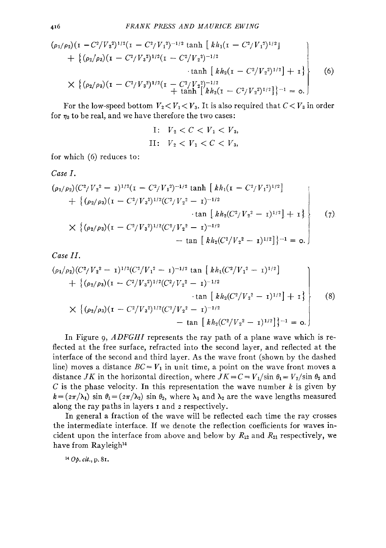$$
(\rho_1/\rho_2)(\mathbf{I} - C^2/V_2^2)^{1/2}(\mathbf{I} - C^2/V_1^2)^{-1/2} \tanh\left[kh_1(\mathbf{I} - C^2/V_1^2)^{1/2}\right] + \left\{(\rho_2/\rho_3)(\mathbf{I} - C^2/V_3^2)^{1/2}(\mathbf{I} - C^2/V_2^2)^{-1/2} \tanh\left[kh_2(\mathbf{I} - C^2/V_2^2)^{1/2}\right] + \mathbf{I}\right\} \times \left\{(\rho_2/\rho_3)(\mathbf{I} - C^2/V_3^2)^{1/2}(\mathbf{I} - C^2/V_2^2)^{-1/2} + \tanh\left[kh_2(\mathbf{I} - C^2/V_2^2)^{1/2}\right]\right\}^{-1} = \mathbf{0}.
$$
\n(6)

For the low-speed bottom  $V_2 < V_1 < V_3$ . It is also required that  $C < V_3$  in order for  $\eta_3$  to be real, and we have therefore the two cases:

I: 
$$
V_2 < C < V_1 < V_3
$$
,  
\nII:  $V_2 < V_1 < C < V_3$ ,

for which  $(6)$  reduces to:

*Case I.* 

*Case II.* 

$$
(\rho_1/\rho_2)(C^2/V_2^2 - 1)^{1/2}(\tau - C^2/V_1^2)^{-1/2} \tanh [kh_1(\tau - C^2/V_1^2)^{1/2}] + \{(\rho_2/\rho_3)(\tau - C^2/V_3^2)^{1/2}(C^2/V_2^2 - \tau)^{-1/2} \cdot \tan [kh_2(C^2/V_2^2 - \tau)^{1/2}] + \tau \} \times \{(\rho_2/\rho_3)(\tau - C^2/V_3^2)^{1/2}(C^2/V_2^2 - \tau)^{-1/2} - \tan [kh_2(C^2/V_2^2 - \tau)^{1/2}] \}^{-1} = o.
$$
\n(7)

$$
(\rho_1/\rho_2)(C^2/V_2^2 - 1)^{1/2}(C^2/V_1^2 - 1)^{-1/2} \tan\left[kh_1(C^2/V_1^2 - 1)^{1/2}\right] + \left\{(\rho_2/\rho_3)(1 - C^2/V_3^2)^{1/2}(C^2/V_2^2 - 1)^{-1/2} \right. \times \left\{(\rho_2/\rho_3)(1 - C^2/V_3^2)^{1/2}(C^2/V_2^2 - 1)^{-1/2} - \tan\left[kh_2(C^2/V_2^2 - 1)^{1/2}\right]\right\}^{-1} = 0.
$$
\n(8)

In Figure 9, *ADFGHI* represents the ray path of a plane wave which is reflected at the free surface, refracted into the second layer, and reflected at the interface of the second and third layer. As the wave front (shown by the dashed line) moves a distance  $BC = V_1$  in unit time, a point on the wave front moves a distance JK in the horizontal direction, where  $JK = C = V_1/\sin \theta_1 = V_2/\sin \theta_2$  and C is the phase velocity. In this representation the wave number  $k$  is given by  $k=(2\pi/\lambda_1)$  sin  $\theta_1=(2\pi/\lambda_2)$  sin  $\theta_2$ , where  $\lambda_1$  and  $\lambda_2$  are the wave lengths measured along the ray paths in layers r and 2 respectively.

In general a fraction of the wave will be reflected each time the ray crosses the intermediate interface. If we denote the reflection coefficients for waves incident upon the interface from above and below by  $R_{12}$  and  $R_{21}$  respectively, we have from Rayleigh<sup>14</sup>

14 Op. *cit.,* p. 81.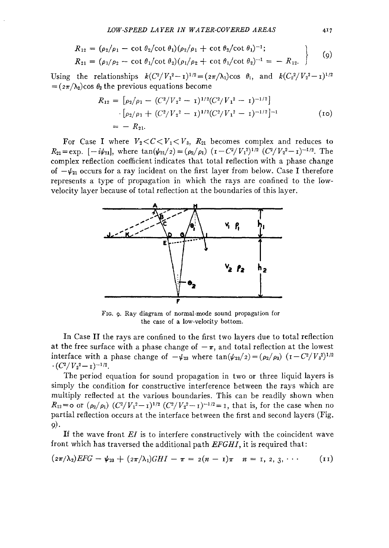$$
R_{12} = (\rho_2/\rho_1 - \cot \theta_2/\cot \theta_1)(\rho_2/\rho_1 + \cot \theta_2/\cot \theta_1)^{-1};
$$
  
\n
$$
R_{21} = (\rho_1/\rho_2 - \cot \theta_1/\cot \theta_2)(\rho_1/\rho_2 + \cot \theta_1/\cot \theta_2)^{-1} = - R_{12}.
$$
\n(9)

Using the relationships  $k(C^2/V_1^2 - 1)^{1/2} = (2\pi/\lambda_1)\cos \theta_1$ , and  $k(C_2^2/V_2^2 - 1)^{1/2}$  $=(2\pi/\lambda_2)\cos\theta_2$  the previous equations become

$$
R_{12} = [\rho_2/\rho_1 - (C^2/V_2^2 - 1)^{1/2}(C^2/V_1^2 - 1)^{-1/2}]
$$
  
 
$$
-[\rho_2/\rho_1 + (C^2/V_2^2 - 1)^{1/2}(C^2/V_1^2 - 1)^{-1/2}]^{-1}
$$
 (10)  
=  $-R_{21}$ .

For Case I where  $V_2 < C < V_1 < V_3$ ,  $R_{21}$  becomes complex and reduces to  $R_{21} = \exp$ .  $[-i\psi_{21}]$ , where  $\tan(\psi_{21}/2) = (\rho_2/\rho_1) (1 - C^2/V_1^2)^{1/2} (C^2/V_2^2 - 1)^{-1/2}$ . The complex reflection coefficient indicates that total reflection with a phase change of  $-\psi_{21}$  occurs for a ray incident on the first layer from below. Case I therefore represents a type of propagation in which the rays are confined to the lowvelocity layer because of total reflection at the boundaries of this layer.



FIG. 9. Ray diagram of normal-mode sound propagation for the case of a low-velocity bottom.

In Case II the rays are confined to the first two layers due to total reflection at the free surface with a phase change of  $-\pi$ , and total reflection at the lowest interface with a phase change of  $-\psi_{23}$  where  $\tan(\psi_{23}/z) = (\rho_2/\rho_3)$   $(r - C^2/V_3^2)^{1/2}$  $\cdot$   $(C^2/V_2^2-1)^{-1/2}$ .

The period equation for sound propagation in two or three liquid layers is simply the condition for constructive interference between the rays which are multiply reflected at the various boundaries. This can be readily shown when  $R_{12} = \infty$  or  $(\rho_2/\rho_1)$   $(C^2/V_1^2-\tau)^{1/2}$   $(C^2/V_2^2-\tau)^{-1/2} = \tau$ , that is, for the case when no partial reflection occurs at the interface between the first and second layers (Fig. 9).

If the wave front *EI* is to interfere constructively with the coincident wave front which has traversed the additional path *EFGHI,* it is required that:

$$
(2\pi/\lambda_2)EFG - \psi_{23} + (2\pi/\lambda_1)GHI - \pi = 2(n-1)\pi \quad n = 1, 2, 3, \cdots \qquad (11)
$$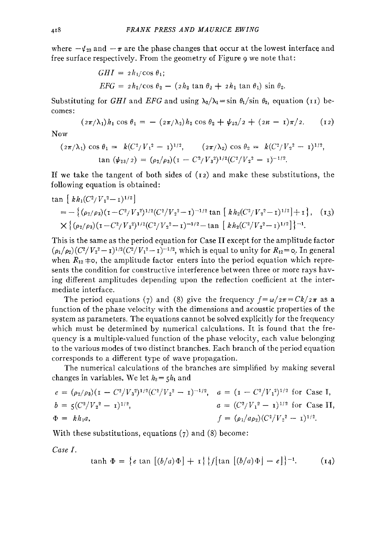where  $-\psi_{23}$  and  $-\pi$  are the phase changes that occur at the lowest interface and free surface respectively. From the geometry of Figure 9 we note that:

$$
GHI = 2h1/\cos \theta_1;
$$
  
EFG = 2h<sub>2</sub>/\cos \theta\_2 - (2h<sub>2</sub> \tan \theta\_2 + 2h<sub>1</sub> \tan \theta\_1) \sin \theta\_2.

Substituting for *GHI* and *EFG* and using  $\lambda_2/\lambda_1 = \sin \theta_1/\sin \theta_2$ , equation (11) becomes:

$$
(2\pi/\lambda_1)h_1\cos\theta_1 = -(2\pi/\lambda_2)h_2\cos\theta_2 + \psi_{23}/2 + (2n-1)\pi/2. \qquad (12)
$$

Now

$$
(2\pi/\lambda_1) \cos \theta_1 = k(C^2/V_1^2 - 1)^{1/2}, \qquad (2\pi/\lambda_2) \cos \theta_2 = k(C^2/V_2^2 - 1)^{1/2},
$$
  

$$
\tan (\psi_{23}/z) = (\rho_2/\rho_3)(1 - C^2/V_3^2)^{1/2}(C^2/V_2^2 - 1)^{-1/2}.
$$

If we take the tangent of both sides of  $(z_2)$  and make these substitutions, the following equation is obtained:

$$
\begin{split} \tan\left[\ k h_1 (C^2/V_1{}^2 - 1)^{1/2}\right] \\ &= -\left\{ (\rho_2/\rho_3) (\mathbf{1} - C^2/V_3{}^2)^{1/2} (C^2/V_2{}^2 - \mathbf{1})^{-1/2} \tan\left[\ k h_2 (C^2/V_2{}^2 - \mathbf{1})^{1/2}\right] + \mathbf{1}\right\}, \quad (13) \\ &\times \left\{ (\rho_2/\rho_3) (\mathbf{1} - C^2/V_3{}^2)^{1/2} (C^2/V_2{}^2 - \mathbf{1})^{-1/2} - \tan\left[\ k h_2 (C^2/V_2{}^2 - \mathbf{1})^{1/2}\right] \right\}^{-1}. \end{split}
$$

This is the same as the period equation for Case II except for the amplitude factor  $(\rho_1/\rho_2)(C^2/V_2^2-\mathbf{1})^{1/2}(C^2/V_1^2-\mathbf{1})^{-1/2}$ , which is equal to unity for  $R_{12} = \circ$ . In general when  $R_{12} \neq 0$ , the amplitude factor enters into the period equation which represents the condition for constructive interference between three or more rays having different amplitudes depending upon the reflection coefficient at the intermediate interface.

The period equations (7) and (8) give the frequency  $f = \omega/2\pi = Ck/2\pi$  as a function of the phase velocity with the dimensions and acoustic properties of the system as parameters. The equations cannot be solved explicitly for the frequency which must be determined by numerical calculations. It is found that the frequency is a multiple-valued function of the phase velocity, each value belonging to the various modes of two distinct branches. Each branch of the period equation corresponds to a different type of wave propagation.

The numerical calculations of the branches are simplified by making several changes in variables. We let  $h_2 = 5h_1$  and

$$
e = (\rho_2/\rho_3)(\mathbf{1} - C^2/V_3^2)^{1/2}(C^2/V_2^2 - \mathbf{1})^{-1/2}, \quad a = (\mathbf{1} - C^2/V_1^2)^{1/2} \text{ for Case I},
$$
  
\n
$$
b = 5(C^2/V_2^2 - \mathbf{1})^{1/2}, \qquad a = (C^2/V_1^2 - \mathbf{1})^{1/2} \text{ for Case II},
$$
  
\n
$$
\Phi = kh_1a, \qquad f = (\rho_1/a\rho_2)(C^2/V_2^2 - \mathbf{1})^{1/2}.
$$

With these substitutions, equations  $(7)$  and  $(8)$  become:

*Case I.* 

$$
\tanh \Phi = \{ e \tan \left[ (b/a) \Phi \right] + \mathbf{1} \} \{ f[\tan \left[ (b/a) \Phi \right] - e \} \}^{-1}.
$$
 (14)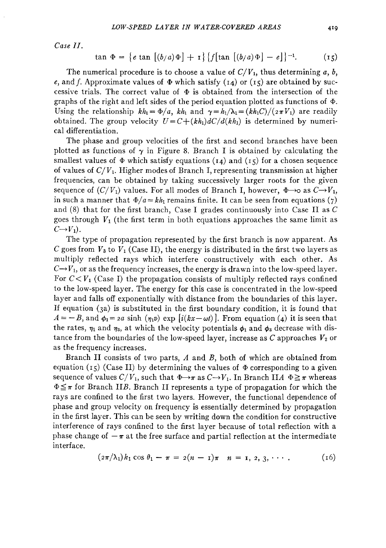*Case II.* 

$$
\tan \Phi = \{ e \tan \left[ (b/a) \Phi \right] + \tau \} \{ f[\tan \left[ (b/a) \Phi \right] - e \right] \}^{-1}.
$$
 (15)

The numerical procedure is to choose a value of  $C/V_1$ , thus determining a, b, *e*, and *f*. Approximate values of  $\Phi$  which satisfy (14) or (15) are obtained by successive trials. The correct value of  $\Phi$  is obtained from the intersection of the graphs of the right and left sides of the period equation plotted as functions of  $\Phi$ . Using the relationship  $kh_1 = \Phi/a$ ,  $kh_1$  and  $\gamma = h_1/\lambda_1 = (kh_1C)/(2\pi V_1)$  are readily obtained. The group velocity  $U = C + (k h_1) dC/d(k h_1)$  is determined by numerical differentiation.

The phase and group velocities of the first and second branches have been plotted as functions of  $\gamma$  in Figure 8. Branch I is obtained by calculating the smallest values of  $\Phi$  which satisfy equations (14) and (15) for a chosen sequence of values of  $C/V_1$ . Higher modes of Branch I, representing transmission at higher frequencies, can be obtained by taking successively larger roots for the given sequence of  $(C/V_1)$  values. For all modes of Branch I, however,  $\Phi \rightarrow o$  as  $C \rightarrow V_1$ , in such a manner that  $\Phi/a = kh_1$  remains finite. It can be seen from equations (7) and  $(8)$  that for the first branch, Case I grades continuously into Case II as  $C$ goes through  $V_1$  (the first term in both equations approaches the same limit as  $C \rightarrow V_1$ ).

The type of propagation represented by the first branch is now apparent. As C goes from  $V_3$  to  $V_1$  (Case II), the energy is distributed in the first two layers as multiply reflected rays which interfere constructively with each other. As  $C\rightarrow V_1$ , or as the frequency increases, the energy is drawn into the low-speed layer. For  $C < V_1$  (Case I) the propagation consists of multiply reflected rays confined to the low-speed layer. The energy for this case is concentrated in the low-speed layer and falls off exponentially with distance from the boundaries of this layer. If equation (3a) is substituted in the first boundary condition, it is found that  $A = -B$ , and  $\phi_1 = 2a \sinh(\eta_1 x) \exp[i(kx - \omega t)]$ . From equation (4) it is seen that the rates,  $\eta_1$  and  $\eta_3$ , at which the velocity potentials  $\phi_1$  and  $\phi_3$  decrease with distance from the boundaries of the low-speed layer, increase as  $C$  approaches  $V_2$  or as the frequency increases.

Branch II consists of two parts,  $A$  and  $B$ , both of which are obtained from equation ( $i_5$ ) (Case II) by determining the values of  $\Phi$  corresponding to a given sequence of values  $C/V_1$ , such that  $\Phi \rightarrow \pi$  as  $C \rightarrow V_1$ . In Branch IIA  $\Phi \geq \pi$  whereas  $\Phi \leq \pi$  for Branch IIB. Branch II represents a type of propagation for which the rays are confined to the first two layers. However, the functional dependence of phase and group velocity on frequency is essentially determined by propagation in the first layer. This can be seen by writing down the condition for constructive interference of rays confined to the first layer because of total reflection with a phase change of  $-\pi$  at the free surface and partial reflection at the intermediate interface.

$$
(2\pi/\lambda_1)h_1\cos\theta_1-\pi=2(n-1)\pi\quad n=1, 2, 3, \cdots. \hspace{1.5cm} (16)
$$